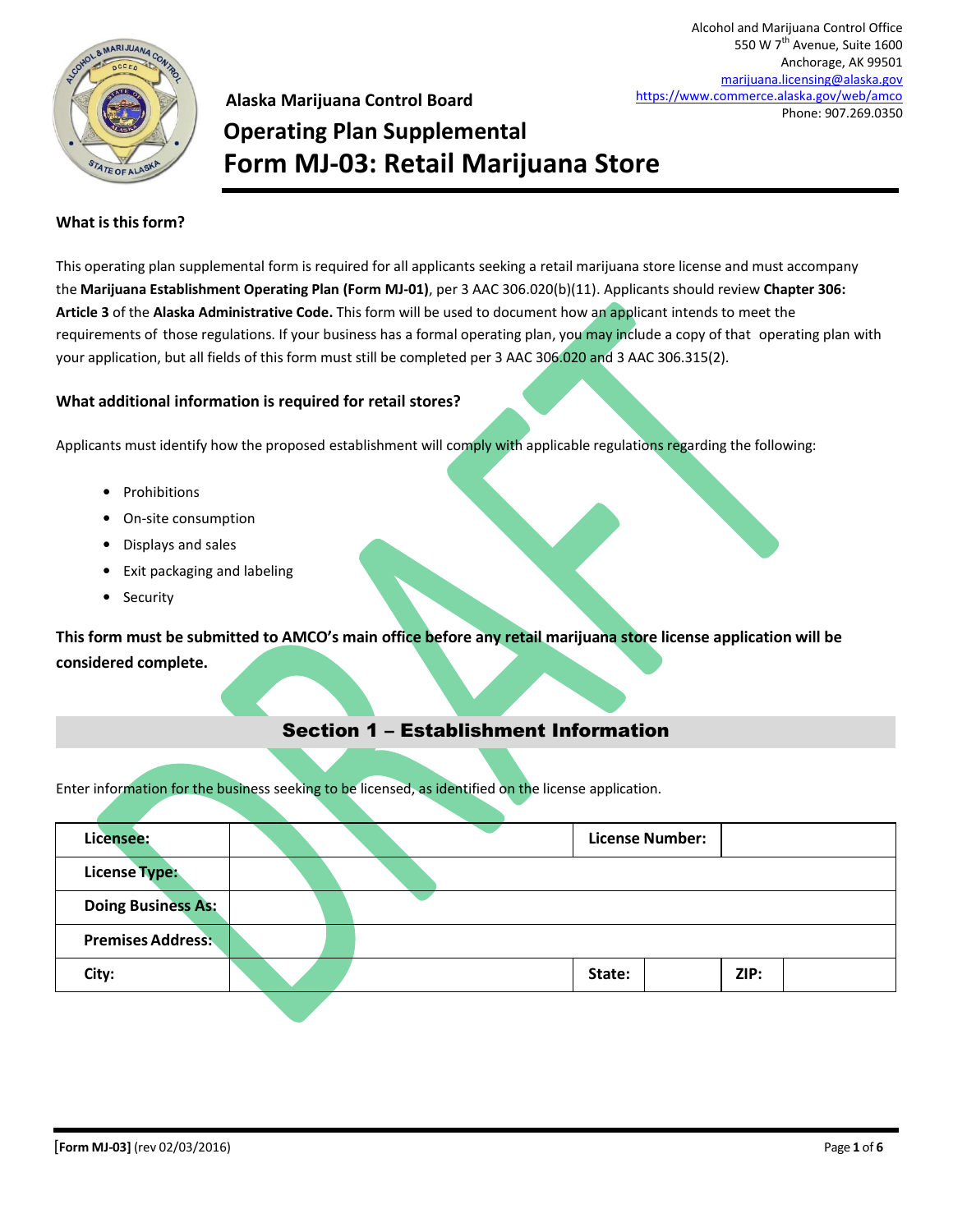

**Alaska Marijuana Control Board Operating Plan Supplemental Form MJ-03: Retail Marijuana Store**

#### **What is this form?**

This operating plan supplemental form is required for all applicants seeking a retail marijuana store license and must accompany the **Marijuana Establishment Operating Plan (Form MJ-01)**, per 3 AAC 306.020(b)(11). Applicants should review **Chapter 306: Article 3** of the **Alaska Administrative Code.** This form will be used to document how an applicant intends to meet the requirements of those regulations. If your business has a formal operating plan, you may include a copy of that operating plan with your application, but all fields of this form must still be completed per 3 AAC 306.020 and 3 AAC 306.315(2).

#### **What additional information is required for retail stores?**

Applicants must identify how the proposed establishment will comply with applicable regulations regarding the following:

- Prohibitions
- On-site consumption
- Displays and sales
- Exit packaging and labeling
- Security

**This form must be submitted to AMCO's main office before any retail marijuana store license application will be considered complete.**

### Section 1 – Establishment Information

Enter information for the business seeking to be licensed, as identified on the license application.

| Licensee:                 |  |        | <b>License Number:</b> |      |  |
|---------------------------|--|--------|------------------------|------|--|
| <b>License Type:</b>      |  |        |                        |      |  |
| <b>Doing Business As:</b> |  |        |                        |      |  |
| <b>Premises Address:</b>  |  |        |                        |      |  |
| City:                     |  | State: |                        | ZIP: |  |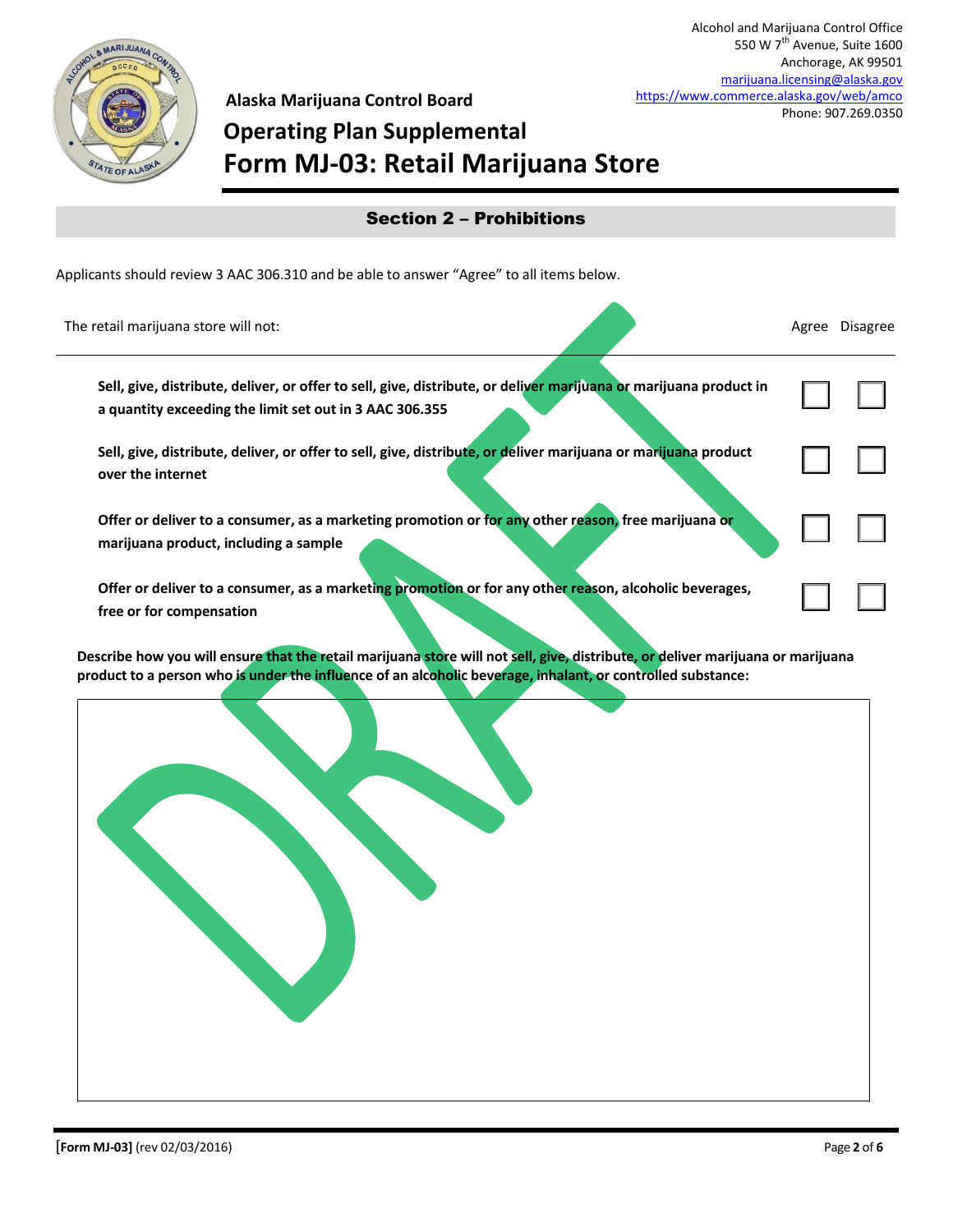

550 W 7<sup>th</sup> Avenue, Suite 1600 Anchorage, AK 99501

Alcohol and Marijuana Control Office

### **Operating Plan Supplemental** [marijuana.licensing@alaska.gov](mailto:marijuana.licensing@alaska.gov) <https://www.commerce.alaska.gov/web/amco> Phone: 907.269.0350

## **Form MJ-03: Retail Marijuana Store** ☐ ☐ ☐ ☐ ☐ ☐ ☐ ☐ Applicants should review 3 AAC 306.310 and be able to answer "Agree" to all items below. The retail marijuana store will not: Agree Disagree Disagree Disagree Disagree Disagree Disagree Disagree Disagree **Sell, give, distribute, deliver, or offer to sell, give, distribute, or deliver marijuana or marijuana product in a quantity exceeding the limit set out in 3 AAC 306.355 Sell, give, distribute, deliver, or offer to sell, give, distribute, or deliver marijuana or marijuana product over the internet Offer or deliver to a consumer, as a marketing promotion or for any other reason, free marijuana or marijuana product, including a sample Offer or deliver to a consumer, as a marketing promotion or for any other reason, alcoholic beverages, free or for compensation** Section 2 – Prohibitions

**Alaska Marijuana Control Board**

**Describe how you will ensure that the retail marijuana store will not sell, give, distribute, or deliver marijuana or marijuana product to a person who is under the influence of an alcoholic beverage, inhalant, or controlled substance:**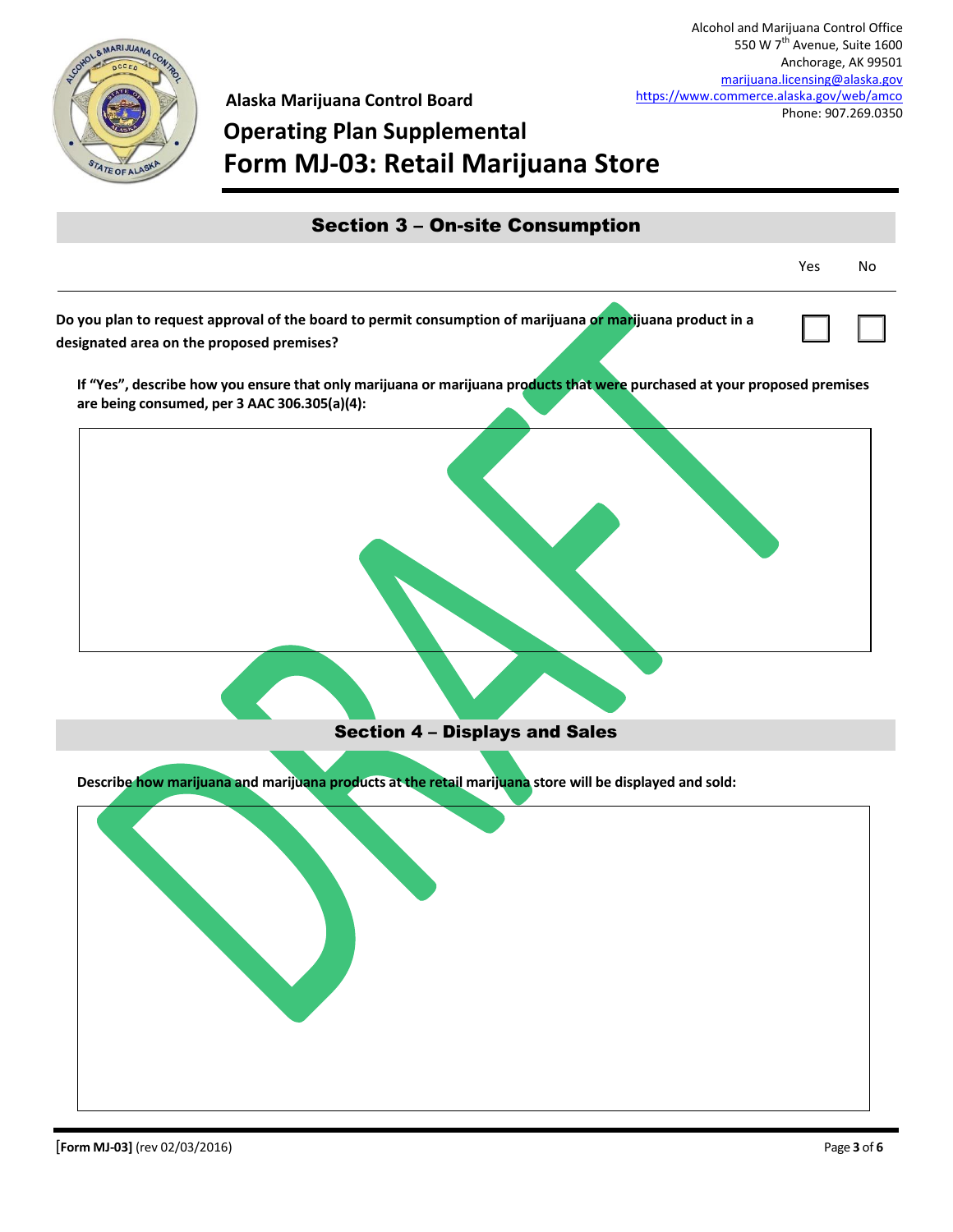

**Alaska Marijuana Control Board**

## **Operating Plan Supplemental Form MJ-03: Retail Marijuana Store**

| <b>Section 3 - On-site Consumption</b>                                                                                                                                    |     |    |
|---------------------------------------------------------------------------------------------------------------------------------------------------------------------------|-----|----|
|                                                                                                                                                                           | Yes | No |
| Do you plan to request approval of the board to permit consumption of marijuana of marijuana product in a<br>designated area on the proposed premises?                    |     |    |
| If "Yes", describe how you ensure that only marijuana or marijuana products that were purchased at your proposed premises<br>are being consumed, per 3 AAC 306.305(a)(4): |     |    |
| <b>Section 4 - Displays and Sales</b>                                                                                                                                     |     |    |
| Describe how marijuana and marijuana products at the retail marijuana store will be displayed and sold:                                                                   |     |    |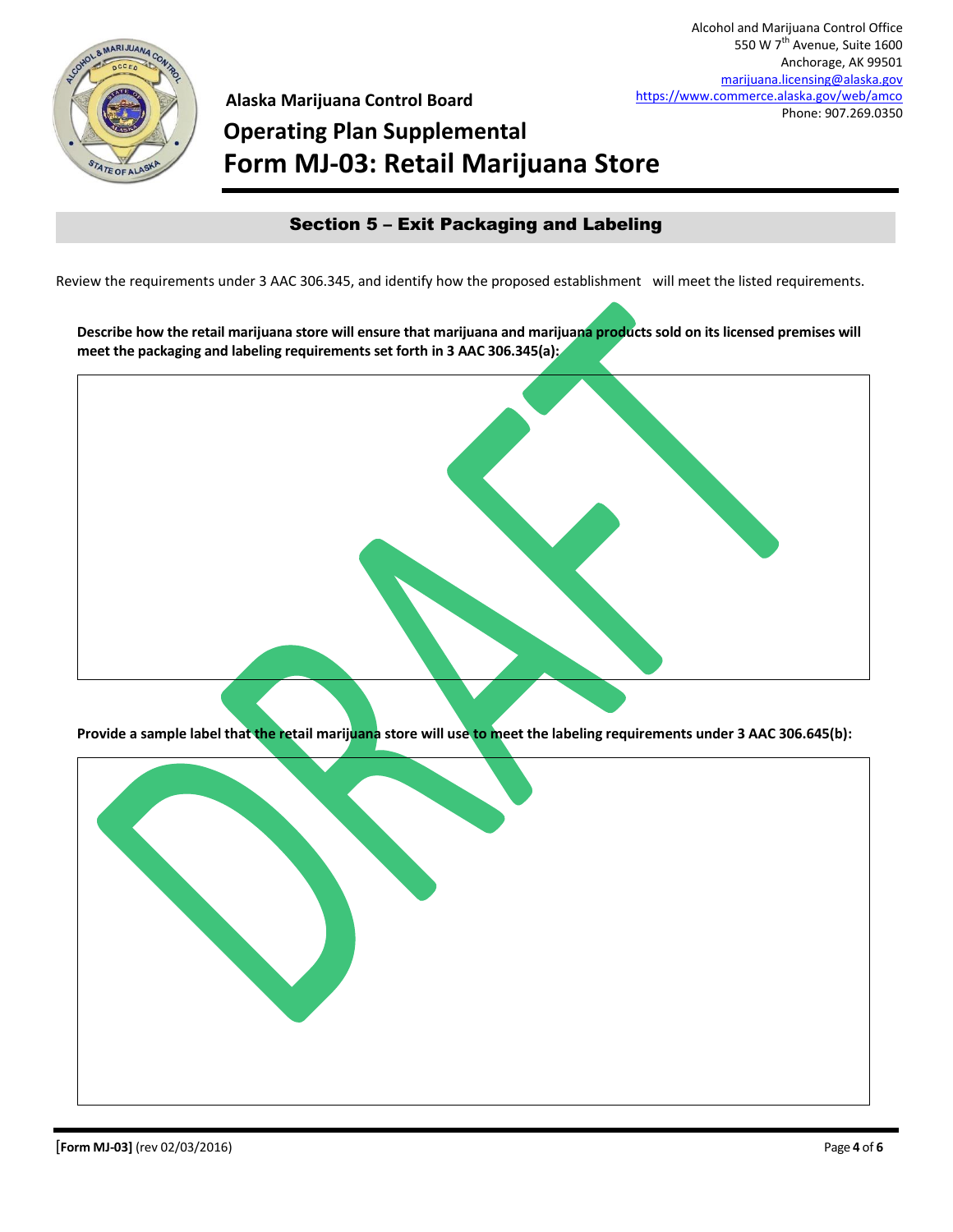

**Alaska Marijuana Control Board Operating Plan Supplemental Form MJ-03: Retail Marijuana Store**

### Section 5 – Exit Packaging and Labeling

Review the requirements under 3 AAC 306.345, and identify how the proposed establishment will meet the listed requirements.

**Describe how the retail marijuana store will ensure that marijuana and marijuana products sold on its licensed premises will meet the packaging and labeling requirements set forth in 3 AAC 306.345(a):**



**Provide a sample label that the retail marijuana store will use to meet the labeling requirements under 3 AAC 306.645(b):**

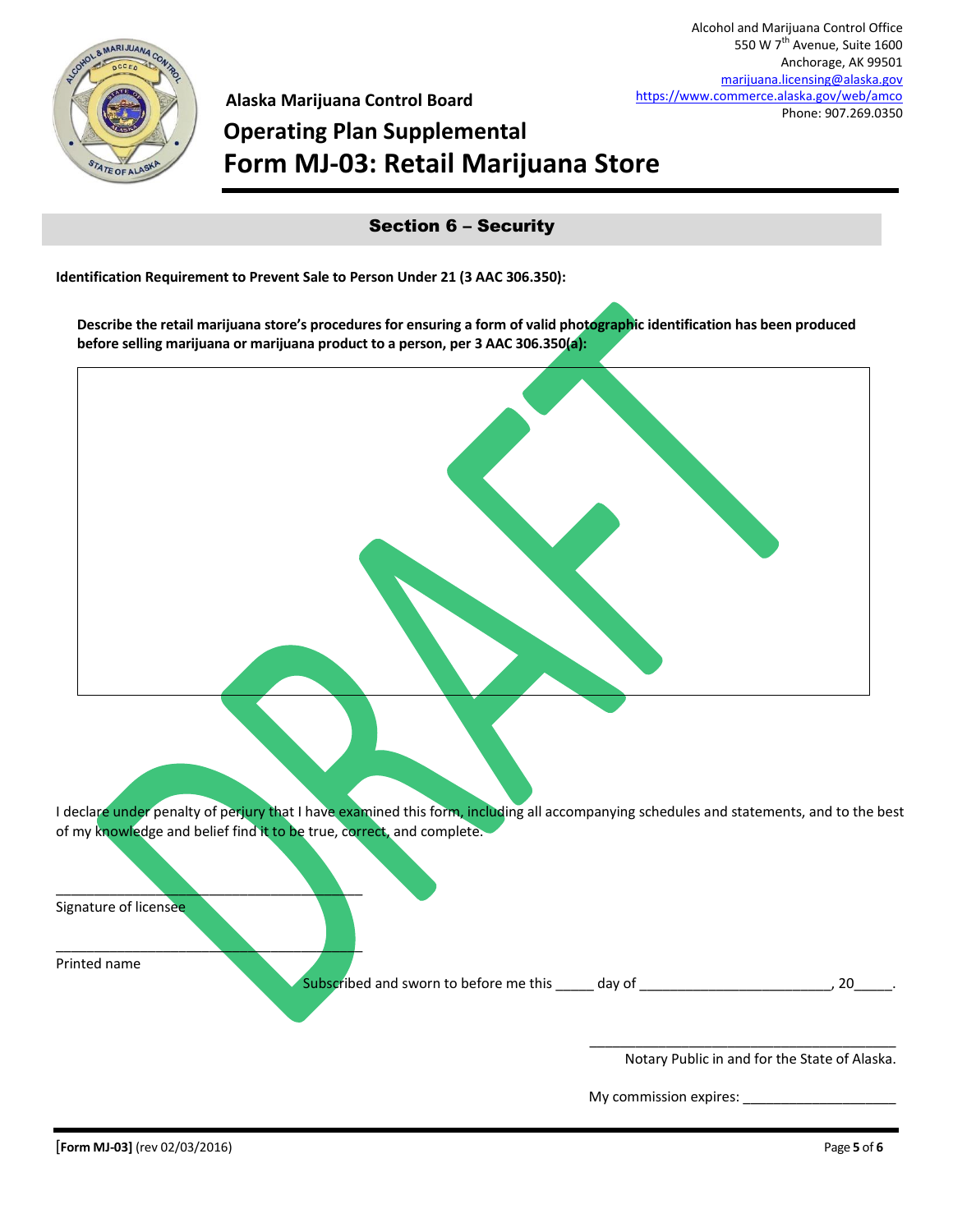

**Alaska Marijuana Control Board**

# **Operating Plan Supplemental Form MJ-03: Retail Marijuana Store**

Section 6 – Security

**Identification Requirement to Prevent Sale to Person Under 21 (3 AAC 306.350):**

**Describe the retail marijuana store's procedures for ensuring a form of valid photographic identification has been produced before selling marijuana or marijuana product to a person, per 3 AAC 306.350(a):**



I declare under penalty of perjury that I have examined this form, including all accompanying schedules and statements, and to the best of my knowledge and belief find it to be true, correct, and complete.

|  | Signature of licensee |
|--|-----------------------|
|--|-----------------------|

 $\qquad \qquad \blacksquare$ 

 $\qquad \qquad \blacksquare$ Printed name

Subscribed and sworn to before me this \_\_\_\_\_ day of \_\_\_\_\_\_\_\_\_\_\_\_\_\_\_\_\_\_\_\_\_\_\_\_\_\_\_\_, 20\_

Notary Public in and for the State of Alaska.

\_\_\_\_\_\_\_\_\_\_\_\_\_\_\_\_\_\_\_\_\_\_\_\_\_\_\_\_\_\_\_\_\_\_\_\_\_\_\_\_

My commission expires: \_\_\_\_\_\_\_\_\_\_\_\_\_\_\_\_\_\_\_\_